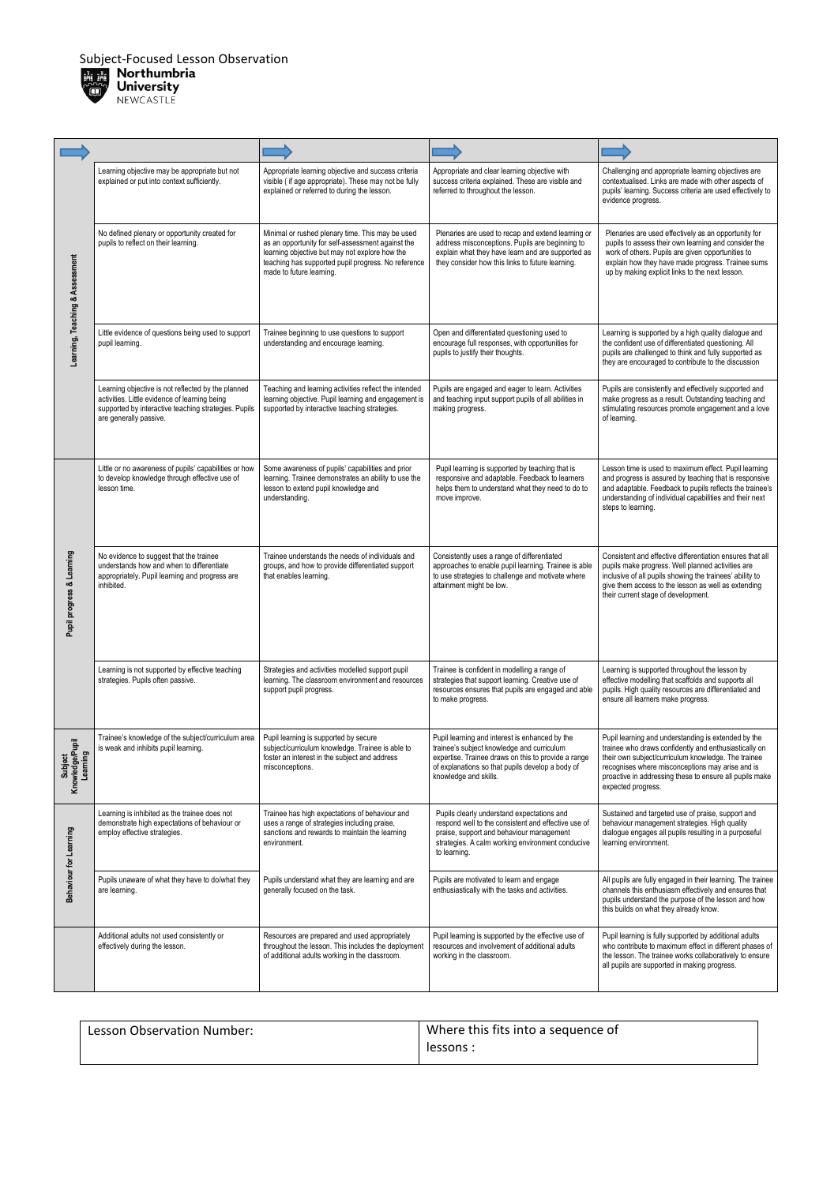

| Learning, Teaching & Assessment        | Learning objective may be appropriate but not<br>explained or put into context sufficiently.                                                                                          | Appropriate learning objective and success criteria<br>visible (if age appropriate). These may not be fully<br>explained or referred to during the lesson.                                                                                 | Appropriate and clear learning objective with<br>success criteria explained. These are visible and<br>referred to throughout the lesson.                                                                                         | Challenging and appropriate learning objectives are<br>contextualised. Links are made with other aspects of<br>pupils' learning. Success criteria are used effectively to<br>evidence progress.                                                                                                          |
|----------------------------------------|---------------------------------------------------------------------------------------------------------------------------------------------------------------------------------------|--------------------------------------------------------------------------------------------------------------------------------------------------------------------------------------------------------------------------------------------|----------------------------------------------------------------------------------------------------------------------------------------------------------------------------------------------------------------------------------|----------------------------------------------------------------------------------------------------------------------------------------------------------------------------------------------------------------------------------------------------------------------------------------------------------|
|                                        | No defined plenary or opportunity created for<br>pupils to reflect on their learning.                                                                                                 | Minimal or rushed plenary time. This may be used<br>as an opportunity for self-assessment against the<br>learning objective but may not explore how the<br>teaching has supported pupil progress. No reference<br>made to future learning. | Plenaries are used to recap and extend learning or<br>address misconceptions. Pupils are beginning to<br>explain what they have learn and are supported as<br>they consider how this links to future learning.                   | Plenaries are used effectively as an opportunity for<br>pupils to assess their own learning and consider the<br>work of others. Pupils are given opportunities to<br>explain how they have made progress. Trainee sums<br>up by making explicit links to the next lesson.                                |
|                                        | Little evidence of questions being used to support<br>pupil learning.                                                                                                                 | Trainee beginning to use questions to support<br>understanding and encourage learning.                                                                                                                                                     | Open and differentiated questioning used to<br>encourage full responses, with opportunities for<br>pupils to justify their thoughts.                                                                                             | Learning is supported by a high quality dialogue and<br>the confident use of differentiated questioning. All<br>pupils are challenged to think and fully supported as<br>they are encouraged to contribute to the discussion                                                                             |
|                                        | Learning objective is not reflected by the planned<br>activities. Little evidence of learning being<br>supported by interactive teaching strategies. Pupils<br>are generally passive. | Teaching and learning activities reflect the intended<br>learning objective. Pupil learning and engagement is<br>supported by interactive teaching strategies.                                                                             | Pupils are engaged and eager to learn. Activities<br>and teaching input support pupils of all abilities in<br>making progress.                                                                                                   | Pupils are consistently and effectively supported and<br>make progress as a result. Outstanding teaching and<br>stimulating resources promote engagement and a love<br>of learning.                                                                                                                      |
|                                        | Little or no awareness of pupils' capabilities or how<br>to develop knowledge through effective use of<br>lesson time.                                                                | Some awareness of pupils' capabilities and prior<br>learning. Trainee demonstrates an ability to use the<br>lesson to extend pupil knowledge and<br>understanding.                                                                         | Pupil learning is supported by teaching that is<br>responsive and adaptable. Feedback to learners<br>helps them to understand what they need to do to<br>move improve.                                                           | Lesson time is used to maximum effect. Pupil learning<br>and progress is assured by teaching that is responsive<br>and adaptable. Feedback to pupils reflects the trainee's<br>understanding of individual capabilities and their next<br>steps to learning.                                             |
| Pupil progress & Learning              | No evidence to suggest that the trainee<br>understands how and when to differentiate<br>appropriately. Pupil learning and progress are<br>inhibited.                                  | Trainee understands the needs of individuals and<br>groups, and how to provide differentiated support<br>that enables learning.                                                                                                            | Consistently uses a range of differentiated<br>approaches to enable pupil learning. Trainee is able<br>to use strategies to challenge and motivate where<br>attainment might be low.                                             | Consistent and effective differentiation ensures that all<br>pupils make progress. Well planned activities are<br>inclusive of all pupils showing the trainees' ability to<br>give them access to the lesson as well as extending<br>their current stage of development.                                 |
|                                        | Learning is not supported by effective teaching<br>strategies. Pupils often passive.                                                                                                  | Strategies and activities modelled support pupil<br>learning. The classroom environment and resources<br>support pupil progress.                                                                                                           | Trainee is confident in modelling a range of<br>strategies that support learning. Creative use of<br>resources ensures that pupils are engaged and able<br>to make progress.                                                     | Learning is supported throughout the lesson by<br>effective modelling that scaffolds and supports all<br>pupils. High quality resources are differentiated and<br>ensure all learners make progress.                                                                                                     |
| Subject<br>Knowledge/Pupil<br>Learning | Trainee's knowledge of the subject/curriculum area<br>is weak and inhibits pupil learning.                                                                                            | Pupil learning is supported by secure<br>subject/curriculum knowledge. Trainee is able to<br>foster an interest in the subject and address<br>misconceptions.                                                                              | Pupil learning and interest is enhanced by the<br>trainee's subject knowledge and curriculum<br>expertise. Trainee draws on this to provide a range<br>of explanations so that pupils develop a body of<br>knowledge and skills. | Pupil learning and understanding is extended by the<br>trainee who draws confidently and enthusiastically on<br>their own subject/curriculum knowledge. The trainee<br>recognises where misconceptions may arise and is<br>proactive in addressing these to ensure all pupils make<br>expected progress. |
| Behaviour for Learning                 | Learning is inhibited as the trainee does not<br>demonstrate high expectations of behaviour or<br>employ effective strategies.                                                        | Trainee has high expectations of behaviour and<br>uses a range of strategies including praise,<br>sanctions and rewards to maintain the learning<br>environment.                                                                           | Pupils clearly understand expectations and<br>respond well to the consistent and effective use of<br>praise, support and behaviour management<br>strategies. A calm working environment conducive<br>to learning.                | Sustained and targeted use of praise, support and<br>behaviour management strategies. High quality<br>dialogue engages all pupils resulting in a purposeful<br>learning environment.                                                                                                                     |
|                                        | Pupils unaware of what they have to do/what they<br>are learning.                                                                                                                     | Pupils understand what they are learning and are<br>generally focused on the task.                                                                                                                                                         | Pupils are motivated to learn and engage<br>enthusiastically with the tasks and activities.                                                                                                                                      | All pupils are fully engaged in their learning. The trainee<br>channels this enthusiasm effectively and ensures that<br>pupils understand the purpose of the lesson and how<br>this builds on what they already know.                                                                                    |
|                                        | Additional adults not used consistently or<br>effectively during the lesson.                                                                                                          | Resources are prepared and used appropriately<br>throughout the lesson. This includes the deployment<br>of additional adults working in the classroom.                                                                                     | Pupil learning is supported by the effective use of<br>resources and involvement of additional adults<br>working in the classroom.                                                                                               | Pupil learning is fully supported by additional adults<br>who contribute to maximum effect in different phases of<br>the lesson. The trainee works collaboratively to ensure<br>all pupils are supported in making progress.                                                                             |

| Lesson Observation Number: | Where this fits into a sequence of |  |
|----------------------------|------------------------------------|--|
|                            | lessons :                          |  |